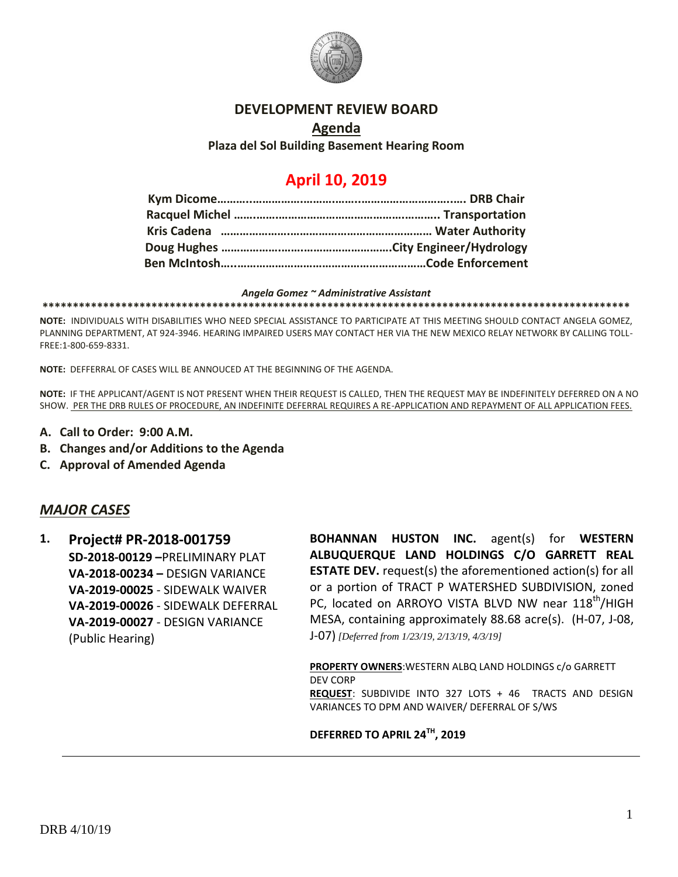

### **DEVELOPMENT REVIEW BOARD**

### **Agenda Plaza del Sol Building Basement Hearing Room**

# **April 10, 2019**

#### *Angela Gomez ~ Administrative Assistant*

**\*\*\*\*\*\*\*\*\*\*\*\*\*\*\*\*\*\*\*\*\*\*\*\*\*\*\*\*\*\*\*\*\*\*\*\*\*\*\*\*\*\*\*\*\*\*\*\*\*\*\*\*\*\*\*\*\*\*\*\*\*\*\*\*\*\*\*\*\*\*\*\*\*\*\*\*\*\*\*\*\*\*\*\*\*\*\*\*\*\*\*\*\*\*\*\*\***

**NOTE:** INDIVIDUALS WITH DISABILITIES WHO NEED SPECIAL ASSISTANCE TO PARTICIPATE AT THIS MEETING SHOULD CONTACT ANGELA GOMEZ, PLANNING DEPARTMENT, AT 924-3946. HEARING IMPAIRED USERS MAY CONTACT HER VIA THE NEW MEXICO RELAY NETWORK BY CALLING TOLL-FREE:1-800-659-8331.

**NOTE:** DEFFERRAL OF CASES WILL BE ANNOUCED AT THE BEGINNING OF THE AGENDA.

**NOTE:** IF THE APPLICANT/AGENT IS NOT PRESENT WHEN THEIR REQUEST IS CALLED, THEN THE REQUEST MAY BE INDEFINITELY DEFERRED ON A NO SHOW. PER THE DRB RULES OF PROCEDURE, AN INDEFINITE DEFERRAL REQUIRES A RE-APPLICATION AND REPAYMENT OF ALL APPLICATION FEES.

- **A. Call to Order: 9:00 A.M.**
- **B. Changes and/or Additions to the Agenda**
- **C. Approval of Amended Agenda**

### *MAJOR CASES*

**1. Project# PR-2018-001759 SD-2018-00129 –**PRELIMINARY PLAT **VA-2018-00234 –** DESIGN VARIANCE **VA-2019-00025** - SIDEWALK WAIVER **VA-2019-00026** - SIDEWALK DEFERRAL **VA-2019-00027** - DESIGN VARIANCE (Public Hearing)

**BOHANNAN HUSTON INC.** agent(s) for **WESTERN ALBUQUERQUE LAND HOLDINGS C/O GARRETT REAL ESTATE DEV.** request(s) the aforementioned action(s) for all or a portion of TRACT P WATERSHED SUBDIVISION, zoned PC, located on ARROYO VISTA BLVD NW near 118<sup>th</sup>/HIGH MESA, containing approximately 88.68 acre(s). (H-07, J-08, J-07) *[Deferred from 1/23/19, 2/13/19, 4/3/19]*

**PROPERTY OWNERS**:WESTERN ALBQ LAND HOLDINGS c/o GARRETT DEV CORP **REQUEST**: SUBDIVIDE INTO 327 LOTS + 46 TRACTS AND DESIGN VARIANCES TO DPM AND WAIVER/ DEFERRAL OF S/WS

### **DEFERRED TO APRIL 24TH, 2019**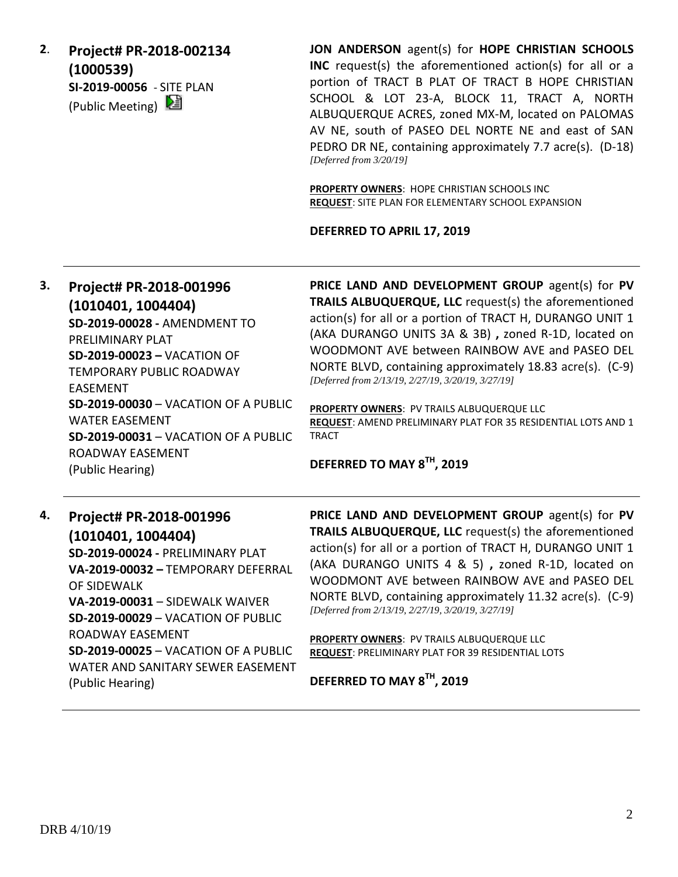**2**. **Project# PR-2018-002134 (1000539) SI-2019-00056** - SITE PLAN (Public Meeting)  $\mathbb{E}$ 

**JON ANDERSON** agent(s) for **HOPE CHRISTIAN SCHOOLS INC** request(s) the aforementioned action(s) for all or a portion of TRACT B PLAT OF TRACT B HOPE CHRISTIAN SCHOOL & LOT 23-A, BLOCK 11, TRACT A, NORTH ALBUQUERQUE ACRES, zoned MX-M, located on PALOMAS AV NE, south of PASEO DEL NORTE NE and east of SAN PEDRO DR NE, containing approximately 7.7 acre(s). (D-18) *[Deferred from 3/20/19]*

**PROPERTY OWNERS**: HOPE CHRISTIAN SCHOOLS INC **REQUEST**: SITE PLAN FOR ELEMENTARY SCHOOL EXPANSION

#### **DEFERRED TO APRIL 17, 2019**

# **3. Project# PR-2018-001996 (1010401, 1004404) SD-2019-00028 -** AMENDMENT TO PRELIMINARY PLAT **SD-2019-00023 –** VACATION OF TEMPORARY PUBLIC ROADWAY EASEMENT **SD-2019-00030** – VACATION OF A PUBLIC WATER EASEMENT

**SD-2019-00031** – VACATION OF A PUBLIC ROADWAY EASEMENT (Public Hearing)

**PRICE LAND AND DEVELOPMENT GROUP** agent(s) for **PV TRAILS ALBUQUERQUE, LLC** request(s) the aforementioned action(s) for all or a portion of TRACT H, DURANGO UNIT 1 (AKA DURANGO UNITS 3A & 3B) **,** zoned R-1D, located on WOODMONT AVE between RAINBOW AVE and PASEO DEL NORTE BLVD, containing approximately 18.83 acre(s). (C-9) *[Deferred from 2/13/19, 2/27/19, 3/20/19, 3/27/19]*

**PROPERTY OWNERS**: PV TRAILS ALBUQUERQUE LLC **REQUEST**: AMEND PRELIMINARY PLAT FOR 35 RESIDENTIAL LOTS AND 1 **TRACT** 

# **DEFERRED TO MAY 8TH, 2019**

# **4. Project# PR-2018-001996 (1010401, 1004404) SD-2019-00024 -** PRELIMINARY PLAT **VA-2019-00032 –** TEMPORARY DEFERRAL OF SIDEWALK **VA-2019-00031** – SIDEWALK WAIVER **SD-2019-00029** – VACATION OF PUBLIC ROADWAY EASEMENT **SD-2019-00025** – VACATION OF A PUBLIC WATER AND SANITARY SEWER EASEMENT (Public Hearing)

**PRICE LAND AND DEVELOPMENT GROUP** agent(s) for **PV TRAILS ALBUQUERQUE, LLC** request(s) the aforementioned action(s) for all or a portion of TRACT H, DURANGO UNIT 1 (AKA DURANGO UNITS 4 & 5) **,** zoned R-1D, located on WOODMONT AVE between RAINBOW AVE and PASEO DEL NORTE BLVD, containing approximately 11.32 acre(s). (C-9) *[Deferred from 2/13/19, 2/27/19, 3/20/19, 3/27/19]*

**PROPERTY OWNERS**: PV TRAILS ALBUQUERQUE LLC **REQUEST**: PRELIMINARY PLAT FOR 39 RESIDENTIAL LOTS

**DEFERRED TO MAY 8TH, 2019**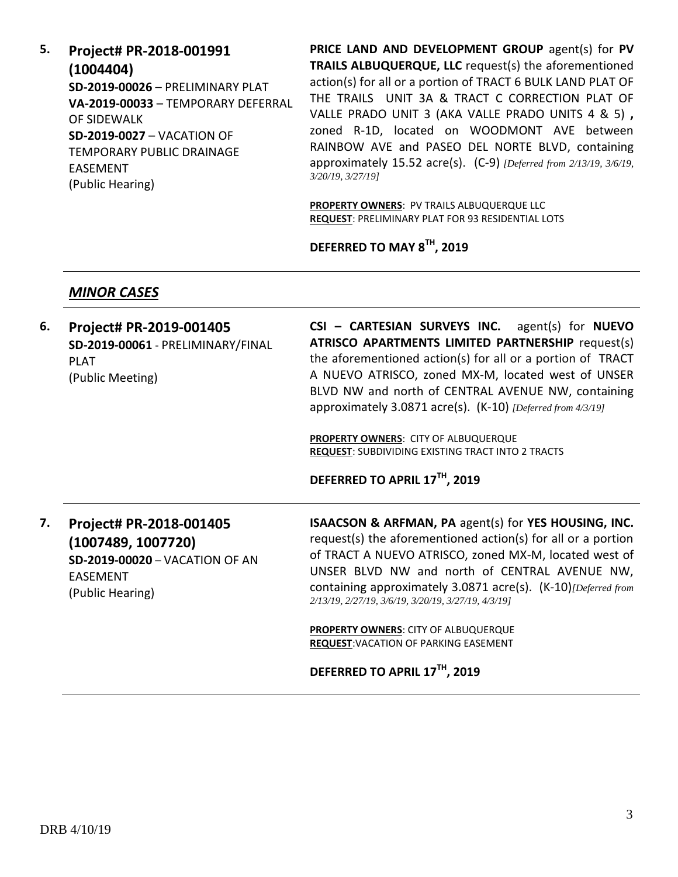**5. Project# PR-2018-001991 (1004404) SD-2019-00026** – PRELIMINARY PLAT **VA-2019-00033** – TEMPORARY DEFERRAL OF SIDEWALK **SD-2019-0027** – VACATION OF TEMPORARY PUBLIC DRAINAGE EASEMENT (Public Hearing)

**PRICE LAND AND DEVELOPMENT GROUP** agent(s) for **PV TRAILS ALBUQUERQUE, LLC** request(s) the aforementioned action(s) for all or a portion of TRACT 6 BULK LAND PLAT OF THE TRAILS UNIT 3A & TRACT C CORRECTION PLAT OF VALLE PRADO UNIT 3 (AKA VALLE PRADO UNITS 4 & 5) **,**  zoned R-1D, located on WOODMONT AVE between RAINBOW AVE and PASEO DEL NORTE BLVD, containing approximately 15.52 acre(s). (C-9) *[Deferred from 2/13/19, 3/6/19, 3/20/19, 3/27/19]*

**PROPERTY OWNERS**: PV TRAILS ALBUQUERQUE LLC **REQUEST**: PRELIMINARY PLAT FOR 93 RESIDENTIAL LOTS

**DEFERRED TO MAY 8TH, 2019**

### *MINOR CASES*

| 6. | Project# PR-2019-001405<br>SD-2019-00061 - PRELIMINARY/FINAL<br><b>PLAT</b><br>(Public Meeting)                               | CSI - CARTESIAN SURVEYS INC. agent(s) for NUEVO<br><b>ATRISCO APARTMENTS LIMITED PARTNERSHIP request(s)</b><br>the aforementioned action(s) for all or a portion of TRACT<br>A NUEVO ATRISCO, zoned MX-M, located west of UNSER<br>BLVD NW and north of CENTRAL AVENUE NW, containing<br>approximately 3.0871 acre(s). (K-10) [Deferred from 4/3/19]               |
|----|-------------------------------------------------------------------------------------------------------------------------------|--------------------------------------------------------------------------------------------------------------------------------------------------------------------------------------------------------------------------------------------------------------------------------------------------------------------------------------------------------------------|
|    |                                                                                                                               | PROPERTY OWNERS: CITY OF ALBUQUERQUE<br><b>REQUEST:</b> SUBDIVIDING EXISTING TRACT INTO 2 TRACTS<br>DEFERRED TO APRIL 17TH, 2019                                                                                                                                                                                                                                   |
| 7. | Project# PR-2018-001405<br>(1007489, 1007720)<br><b>SD-2019-00020 - VACATION OF AN</b><br><b>EASEMENT</b><br>(Public Hearing) | <b>ISAACSON &amp; ARFMAN, PA agent(s) for YES HOUSING, INC.</b><br>request(s) the aforementioned action(s) for all or a portion<br>of TRACT A NUEVO ATRISCO, zoned MX-M, located west of<br>UNSER BLVD NW and north of CENTRAL AVENUE NW,<br>containing approximately 3.0871 acre(s). (K-10) [Deferred from<br>2/13/19, 2/27/19, 3/6/19, 3/20/19, 3/27/19, 4/3/19] |
|    |                                                                                                                               | PROPERTY OWNERS: CITY OF ALBUQUERQUE<br>REQUEST: VACATION OF PARKING EASEMENT                                                                                                                                                                                                                                                                                      |
|    |                                                                                                                               | DEFERRED TO APRIL 17TH, 2019                                                                                                                                                                                                                                                                                                                                       |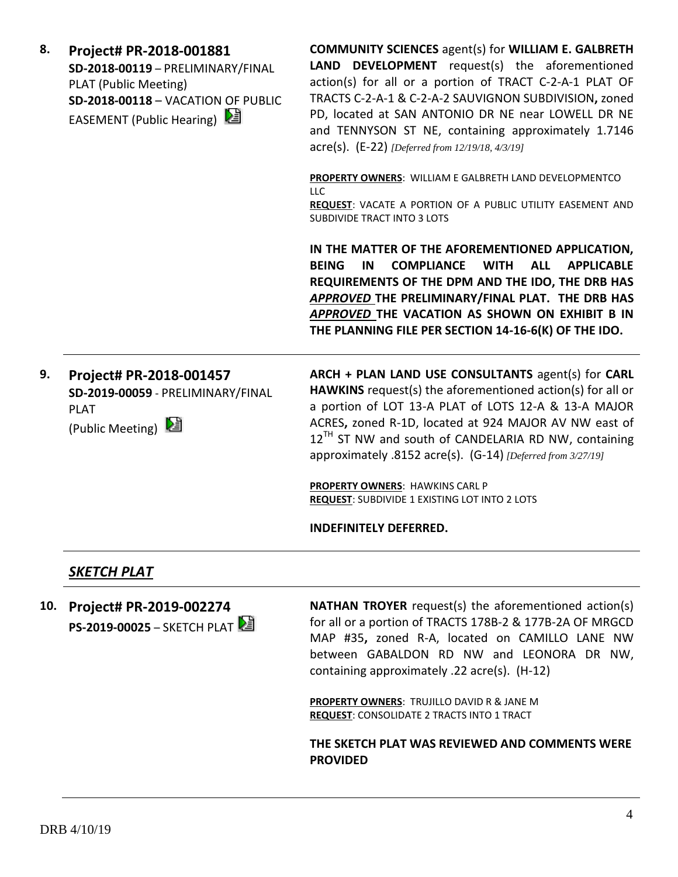| 8. | Project# PR-2018-001881            |
|----|------------------------------------|
|    | SD-2018-00119 - PRELIMINARY/FINAL  |
|    | PLAT (Public Meeting)              |
|    | SD-2018-00118 - VACATION OF PUBLIC |
|    | EASEMENT (Public Hearing)          |

**COMMUNITY SCIENCES** agent(s) for **WILLIAM E. GALBRETH LAND DEVELOPMENT** request(s) the aforementioned action(s) for all or a portion of TRACT C-2-A-1 PLAT OF TRACTS C-2-A-1 & C-2-A-2 SAUVIGNON SUBDIVISION**,** zoned PD, located at SAN ANTONIO DR NE near LOWELL DR NE and TENNYSON ST NE, containing approximately 1.7146 acre(s). (E-22) *[Deferred from 12/19/18, 4/3/19]*

**PROPERTY OWNERS**: WILLIAM E GALBRETH LAND DEVELOPMENTCO LLC

**REQUEST**: VACATE A PORTION OF A PUBLIC UTILITY EASEMENT AND SUBDIVIDE TRACT INTO 3 LOTS

**IN THE MATTER OF THE AFOREMENTIONED APPLICATION, BEING IN COMPLIANCE WITH ALL APPLICABLE REQUIREMENTS OF THE DPM AND THE IDO, THE DRB HAS**  *APPROVED* **THE PRELIMINARY/FINAL PLAT. THE DRB HAS**  *APPROVED* **THE VACATION AS SHOWN ON EXHIBIT B IN THE PLANNING FILE PER SECTION 14-16-6(K) OF THE IDO.**

**9. Project# PR-2018-001457 SD-2019-00059** - PRELIMINARY/FINAL PLAT (Public Meeting) 2

**ARCH + PLAN LAND USE CONSULTANTS** agent(s) for **CARL HAWKINS** request(s) the aforementioned action(s) for all or a portion of LOT 13-A PLAT of LOTS 12-A & 13-A MAJOR ACRES**,** zoned R-1D, located at 924 MAJOR AV NW east of  $12^{TH}$  ST NW and south of CANDELARIA RD NW, containing approximately .8152 acre(s). (G-14) *[Deferred from 3/27/19]*

**PROPERTY OWNERS**: HAWKINS CARL P **REQUEST**: SUBDIVIDE 1 EXISTING LOT INTO 2 LOTS

**INDEFINITELY DEFERRED.**

# *SKETCH PLAT*

**10. Project# PR-2019-002274 PS-2019-00025** – SKETCH PLAT **NATHAN TROYER** request(s) the aforementioned action(s) for all or a portion of TRACTS 178B-2 & 177B-2A OF MRGCD MAP #35**,** zoned R-A, located on CAMILLO LANE NW between GABALDON RD NW and LEONORA DR NW, containing approximately .22 acre(s). (H-12)

**PROPERTY OWNERS**: TRUJILLO DAVID R & JANE M **REQUEST**: CONSOLIDATE 2 TRACTS INTO 1 TRACT

**THE SKETCH PLAT WAS REVIEWED AND COMMENTS WERE PROVIDED**